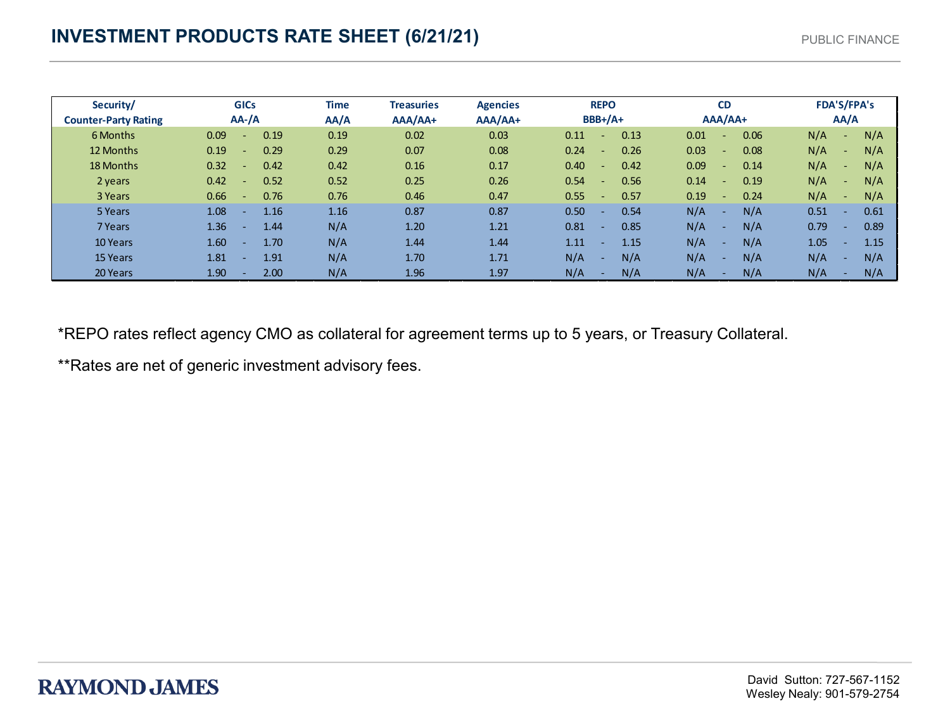| Security/                   | <b>GICs</b>            | Time | <b>Treasuries</b> | <b>Agencies</b> | <b>REPO</b>              | <b>CD</b>                                | <b>FDA'S/FPA's</b>   |
|-----------------------------|------------------------|------|-------------------|-----------------|--------------------------|------------------------------------------|----------------------|
| <b>Counter-Party Rating</b> | $AA$ -/A               | AA/A | $AA/AA+$          | AAA/AA+         | $BBB+/A+$                | AAA/AA+                                  | AA/A                 |
| 6 Months                    | 0.09<br>0.19<br>÷.     | 0.19 | 0.02              | 0.03            | 0.13<br>0.11             | 0.06<br>0.01<br>$\overline{\phantom{a}}$ | N/A<br>N/A<br>$\sim$ |
| 12 Months                   | 0.19<br>0.29<br>÷.     | 0.29 | 0.07              | 0.08            | 0.24<br>0.26<br><b>.</b> | 0.03<br>0.08<br>$\sim$                   | N/A<br>N/A<br>$\sim$ |
| 18 Months                   | 0.32<br>0.42<br>÷.     | 0.42 | 0.16              | 0.17            | 0.40<br>0.42<br>۰.       | 0.09<br>0.14<br>$\sim$                   | N/A<br>N/A<br>$\sim$ |
| 2 years                     | 0.52<br>0.42<br>$\sim$ | 0.52 | 0.25              | 0.26            | 0.54<br>0.56<br><b>.</b> | 0.19<br>0.14<br>$\sim$                   | N/A<br>N/A<br>$\sim$ |
| 3 Years                     | 0.76<br>0.66<br>$\sim$ | 0.76 | 0.46              | 0.47            | 0.55<br>0.57<br><b>-</b> | 0.24<br>0.19<br>$\sim$                   | N/A<br>N/A<br>$\sim$ |
| 5 Years                     | 1.08<br>1.16<br>÷.     | 1.16 | 0.87              | 0.87            | 0.50<br>0.54             | N/A<br>N/A<br>÷.                         | 0.51<br>0.61<br>н.   |
| 7 Years                     | 1.36<br>1.44<br>÷      | N/A  | 1.20              | 1.21            | 0.81<br>0.85             | N/A<br>N/A<br>ж.                         | 0.79<br>0.89<br>н.   |
| 10 Years                    | 1.60<br>1.70<br>÷.     | N/A  | 1.44              | 1.44            | 1.11<br>1.15             | N/A<br>N/A<br>÷.                         | 1.05<br>1.15<br>٠    |
| 15 Years                    | 1.81<br>1.91<br>н.     | N/A  | 1.70              | 1.71            | N/A<br>N/A               | N/A<br>N/A<br>÷.                         | N/A<br>N/A<br>۰.     |
| 20 Years                    | 1.90<br>2.00           | N/A  | 1.96              | 1.97            | N/A<br>N/A               | N/A<br>N/A<br><b>м.</b>                  | N/A<br>N/A           |

\*REPO rates reflect agency CMO as collateral for agreement terms up to 5 years, or Treasury Collateral.

\*\*Rates are net of generic investment advisory fees.